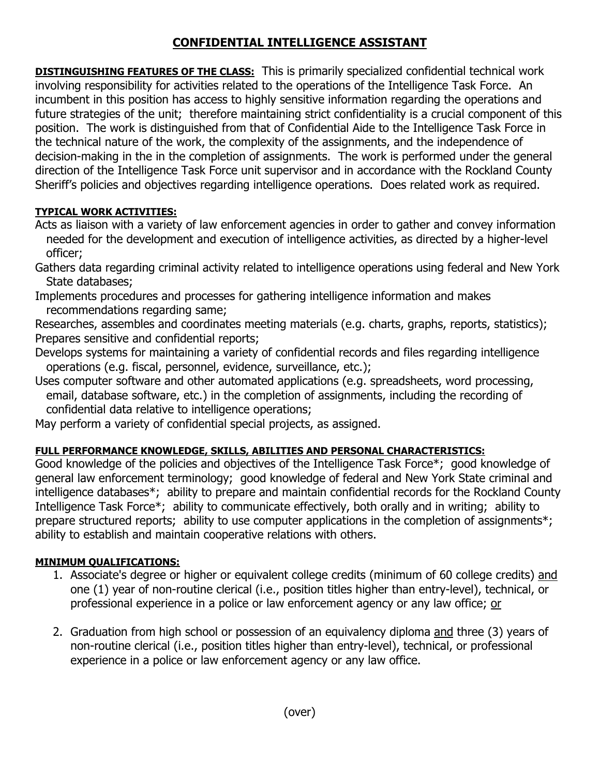# **CONFIDENTIAL INTELLIGENCE ASSISTANT**

**DISTINGUISHING FEATURES OF THE CLASS:** This is primarily specialized confidential technical work involving responsibility for activities related to the operations of the Intelligence Task Force. An incumbent in this position has access to highly sensitive information regarding the operations and future strategies of the unit; therefore maintaining strict confidentiality is a crucial component of this position. The work is distinguished from that of Confidential Aide to the Intelligence Task Force in the technical nature of the work, the complexity of the assignments, and the independence of decision-making in the in the completion of assignments. The work is performed under the general direction of the Intelligence Task Force unit supervisor and in accordance with the Rockland County Sheriff's policies and objectives regarding intelligence operations. Does related work as required.

## **TYPICAL WORK ACTIVITIES:**

- Acts as liaison with a variety of law enforcement agencies in order to gather and convey information needed for the development and execution of intelligence activities, as directed by a higher-level officer;
- Gathers data regarding criminal activity related to intelligence operations using federal and New York State databases;
- Implements procedures and processes for gathering intelligence information and makes recommendations regarding same;
- Researches, assembles and coordinates meeting materials (e.g. charts, graphs, reports, statistics); Prepares sensitive and confidential reports;
- Develops systems for maintaining a variety of confidential records and files regarding intelligence operations (e.g. fiscal, personnel, evidence, surveillance, etc.);
- Uses computer software and other automated applications (e.g. spreadsheets, word processing, email, database software, etc.) in the completion of assignments, including the recording of confidential data relative to intelligence operations;
- May perform a variety of confidential special projects, as assigned.

## **FULL PERFORMANCE KNOWLEDGE, SKILLS, ABILITIES AND PERSONAL CHARACTERISTICS:**

Good knowledge of the policies and objectives of the Intelligence Task Force\*; good knowledge of general law enforcement terminology; good knowledge of federal and New York State criminal and intelligence databases\*; ability to prepare and maintain confidential records for the Rockland County Intelligence Task Force\*; ability to communicate effectively, both orally and in writing; ability to prepare structured reports; ability to use computer applications in the completion of assignments<sup>\*</sup>; ability to establish and maintain cooperative relations with others.

## **MINIMUM QUALIFICATIONS:**

- 1. Associate's degree or higher or equivalent college credits (minimum of 60 college credits) and one (1) year of non-routine clerical (i.e., position titles higher than entry-level), technical, or professional experience in a police or law enforcement agency or any law office; or
- 2. Graduation from high school or possession of an equivalency diploma and three (3) years of non-routine clerical (i.e., position titles higher than entry-level), technical, or professional experience in a police or law enforcement agency or any law office.